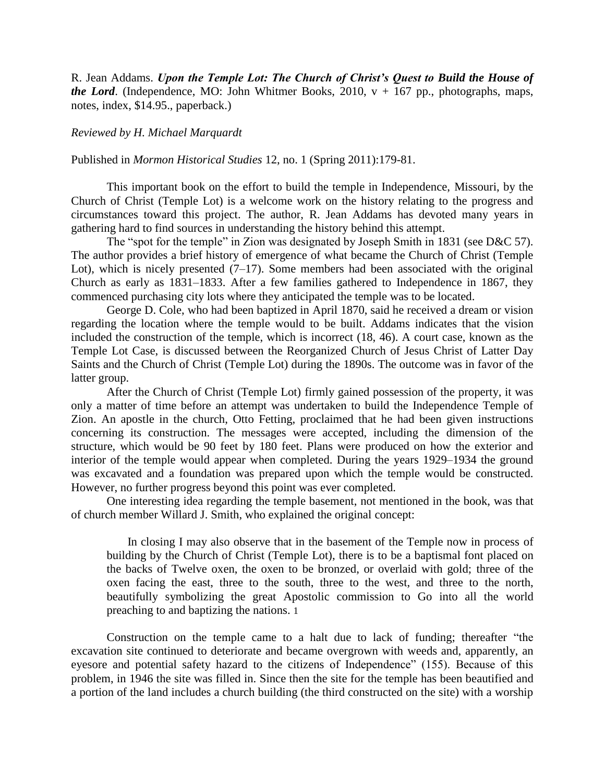R. Jean Addams. *Upon the Temple Lot: The Church of Christ's Quest to Build the House of the Lord.* (Independence, MO: John Whitmer Books, 2010,  $v + 167$  pp., photographs, maps, notes, index, \$14.95., paperback.)

## *Reviewed by H. Michael Marquardt*

## Published in *Mormon Historical Studies* 12, no. 1 (Spring 2011):179-81.

This important book on the effort to build the temple in Independence, Missouri, by the Church of Christ (Temple Lot) is a welcome work on the history relating to the progress and circumstances toward this project. The author, R. Jean Addams has devoted many years in gathering hard to find sources in understanding the history behind this attempt.

The "spot for the temple" in Zion was designated by Joseph Smith in 1831 (see D&C 57). The author provides a brief history of emergence of what became the Church of Christ (Temple Lot), which is nicely presented  $(7-17)$ . Some members had been associated with the original Church as early as 1831–1833. After a few families gathered to Independence in 1867, they commenced purchasing city lots where they anticipated the temple was to be located.

George D. Cole, who had been baptized in April 1870, said he received a dream or vision regarding the location where the temple would to be built. Addams indicates that the vision included the construction of the temple, which is incorrect (18, 46). A court case, known as the Temple Lot Case, is discussed between the Reorganized Church of Jesus Christ of Latter Day Saints and the Church of Christ (Temple Lot) during the 1890s. The outcome was in favor of the latter group.

After the Church of Christ (Temple Lot) firmly gained possession of the property, it was only a matter of time before an attempt was undertaken to build the Independence Temple of Zion. An apostle in the church, Otto Fetting, proclaimed that he had been given instructions concerning its construction. The messages were accepted, including the dimension of the structure, which would be 90 feet by 180 feet. Plans were produced on how the exterior and interior of the temple would appear when completed. During the years 1929–1934 the ground was excavated and a foundation was prepared upon which the temple would be constructed. However, no further progress beyond this point was ever completed.

One interesting idea regarding the temple basement, not mentioned in the book, was that of church member Willard J. Smith, who explained the original concept:

 In closing I may also observe that in the basement of the Temple now in process of building by the Church of Christ (Temple Lot), there is to be a baptismal font placed on the backs of Twelve oxen, the oxen to be bronzed, or overlaid with gold; three of the oxen facing the east, three to the south, three to the west, and three to the north, beautifully symbolizing the great Apostolic commission to Go into all the world preaching to and baptizing the nations. 1

Construction on the temple came to a halt due to lack of funding; thereafter "the excavation site continued to deteriorate and became overgrown with weeds and, apparently, an eyesore and potential safety hazard to the citizens of Independence" (155). Because of this problem, in 1946 the site was filled in. Since then the site for the temple has been beautified and a portion of the land includes a church building (the third constructed on the site) with a worship